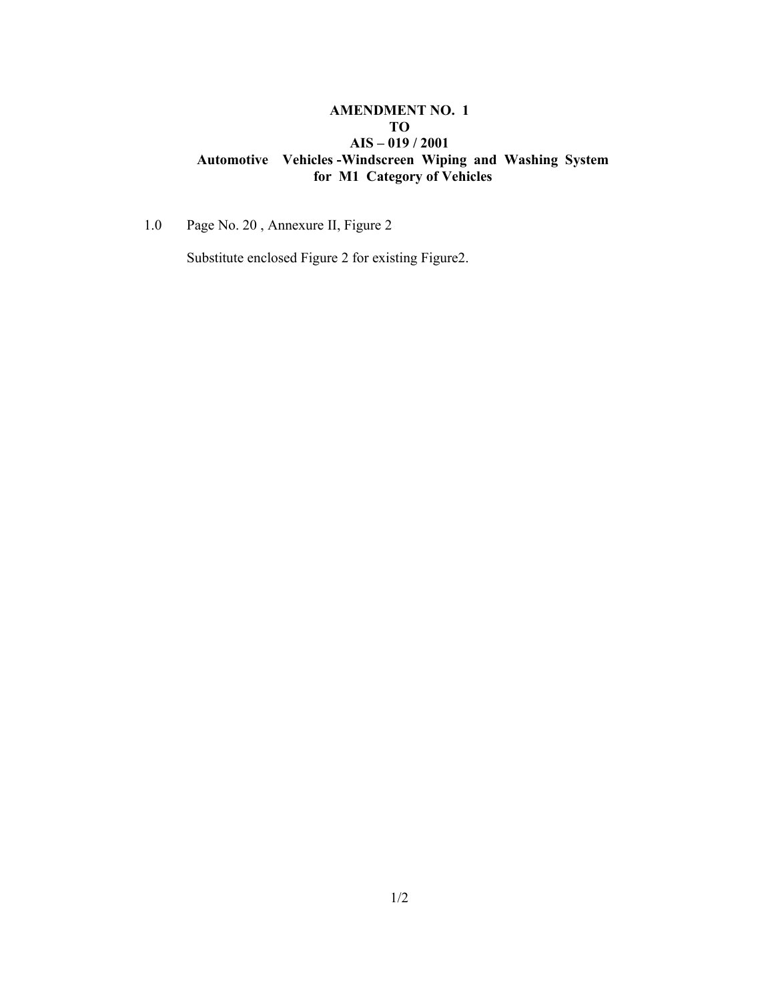#### **AMENDMENT NO. 1 TO AIS – 019 / 2001 Automotive Vehicles -Windscreen Wiping and Washing System for M1 Category of Vehicles**

1.0 Page No. 20 , Annexure II, Figure 2

Substitute enclosed Figure 2 for existing Figure2.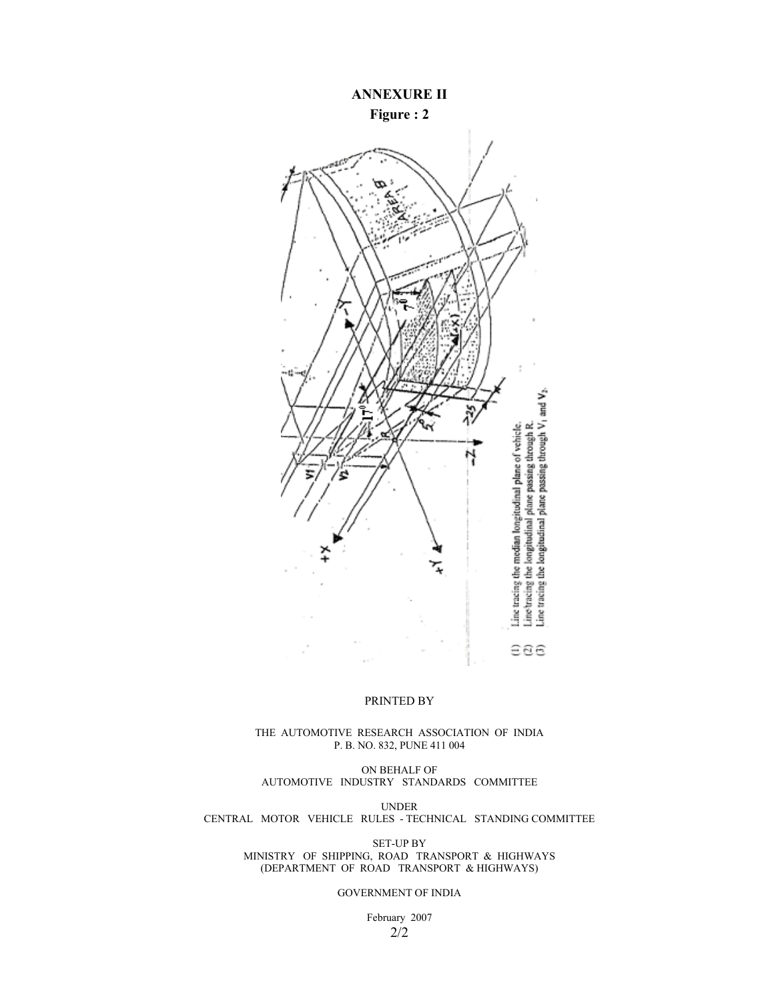## **ANNEXURE II Figure : 2**



#### PRINTED BY

#### THE AUTOMOTIVE RESEARCH ASSOCIATION OF INDIA P. B. NO. 832, PUNE 411 004

ON BEHALF OF AUTOMOTIVE INDUSTRY STANDARDS COMMITTEE

UNDER CENTRAL MOTOR VEHICLE RULES - TECHNICAL STANDING COMMITTEE

> SET-UP BY MINISTRY OF SHIPPING, ROAD TRANSPORT & HIGHWAYS (DEPARTMENT OF ROAD TRANSPORT & HIGHWAYS)

> > GOVERNMENT OF INDIA

February 2007 2/2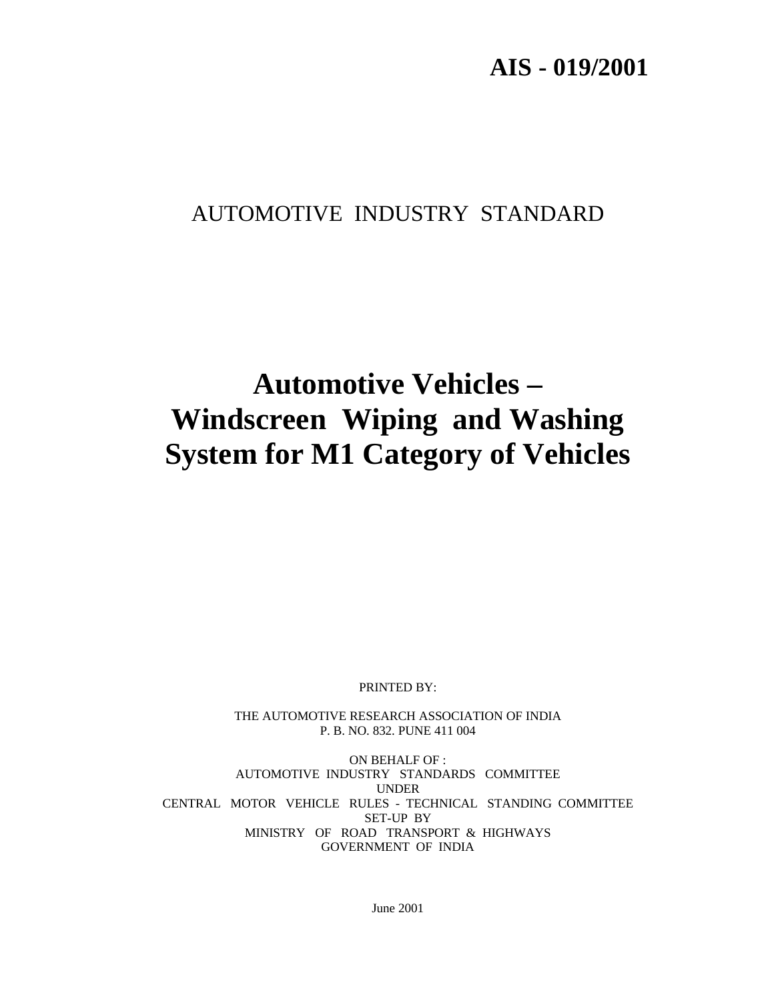# **AIS - 019/2001**

# AUTOMOTIVE INDUSTRY STANDARD

# **Automotive Vehicles – Windscreen Wiping and Washing System for M1 Category of Vehicles**

PRINTED BY:

THE AUTOMOTIVE RESEARCH ASSOCIATION OF INDIA P. B. NO. 832. PUNE 411 004

ON BEHALF OF : AUTOMOTIVE INDUSTRY STANDARDS COMMITTEE UNDER CENTRAL MOTOR VEHICLE RULES - TECHNICAL STANDING COMMITTEE SET-UP BY MINISTRY OF ROAD TRANSPORT & HIGHWAYS GOVERNMENT OF INDIA

June 2001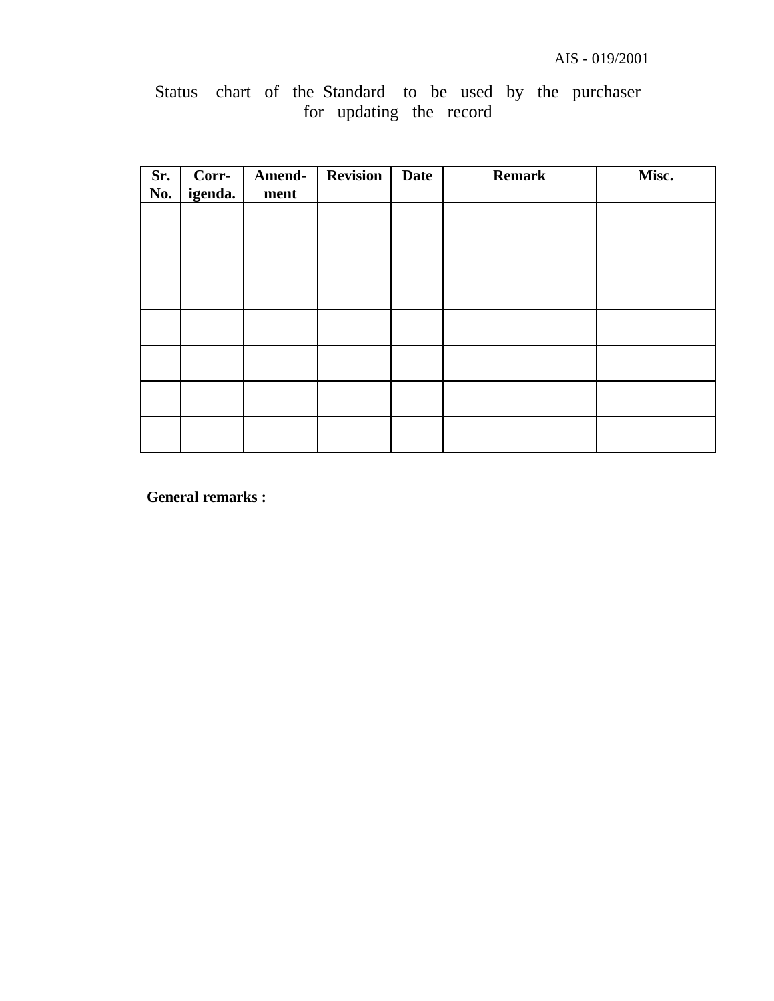## Status chart of the Standard to be used by the purchaser for updating the record

| Sr.<br>No. | Corr-<br>igenda. | Amend-<br>ment | <b>Revision</b> | <b>Date</b> | <b>Remark</b> | Misc. |
|------------|------------------|----------------|-----------------|-------------|---------------|-------|
|            |                  |                |                 |             |               |       |
|            |                  |                |                 |             |               |       |
|            |                  |                |                 |             |               |       |
|            |                  |                |                 |             |               |       |
|            |                  |                |                 |             |               |       |
|            |                  |                |                 |             |               |       |
|            |                  |                |                 |             |               |       |

**General remarks :**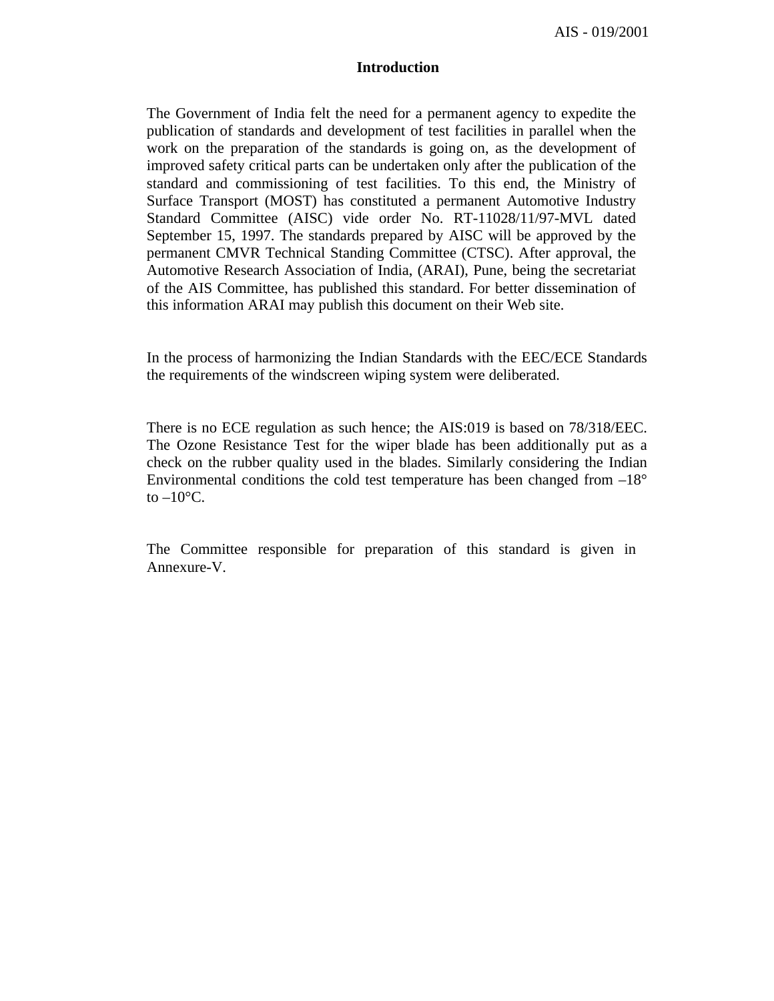AIS - 019/2001

#### **Introduction**

The Government of India felt the need for a permanent agency to expedite the publication of standards and development of test facilities in parallel when the work on the preparation of the standards is going on, as the development of improved safety critical parts can be undertaken only after the publication of the standard and commissioning of test facilities. To this end, the Ministry of Surface Transport (MOST) has constituted a permanent Automotive Industry Standard Committee (AISC) vide order No. RT-11028/11/97-MVL dated September 15, 1997. The standards prepared by AISC will be approved by the permanent CMVR Technical Standing Committee (CTSC). After approval, the Automotive Research Association of India, (ARAI), Pune, being the secretariat of the AIS Committee, has published this standard. For better dissemination of this information ARAI may publish this document on their Web site.

In the process of harmonizing the Indian Standards with the EEC/ECE Standards the requirements of the windscreen wiping system were deliberated.

There is no ECE regulation as such hence; the AIS:019 is based on 78/318/EEC. The Ozone Resistance Test for the wiper blade has been additionally put as a check on the rubber quality used in the blades. Similarly considering the Indian Environmental conditions the cold test temperature has been changed from  $-18^{\circ}$ to  $-10$ <sup>o</sup>C.

The Committee responsible for preparation of this standard is given in Annexure-V.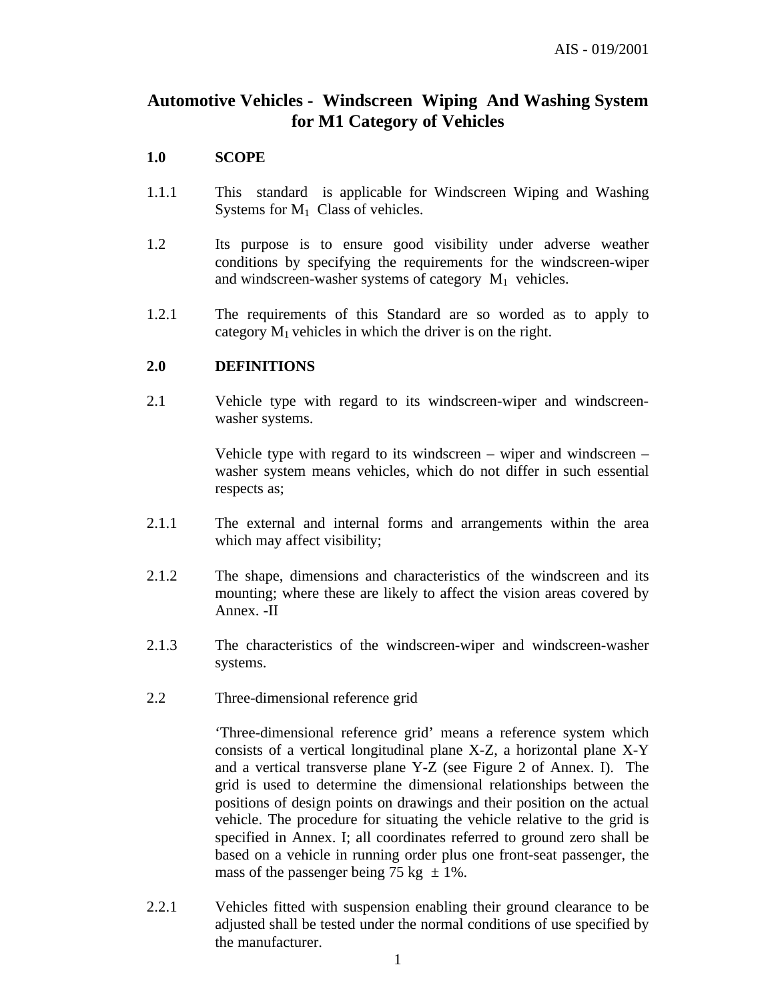## **Automotive Vehicles - Windscreen Wiping And Washing System for M1 Category of Vehicles**

#### **1.0 SCOPE**

- 1.1.1 This standard is applicable for Windscreen Wiping and Washing Systems for  $M_1$  Class of vehicles.
- 1.2 Its purpose is to ensure good visibility under adverse weather conditions by specifying the requirements for the windscreen-wiper and windscreen-washer systems of category  $M_1$  vehicles.
- 1.2.1 The requirements of this Standard are so worded as to apply to category  $M_1$  vehicles in which the driver is on the right.

#### **2.0 DEFINITIONS**

2.1 Vehicle type with regard to its windscreen-wiper and windscreenwasher systems.

> Vehicle type with regard to its windscreen – wiper and windscreen – washer system means vehicles, which do not differ in such essential respects as;

- 2.1.1 The external and internal forms and arrangements within the area which may affect visibility;
- 2.1.2 The shape, dimensions and characteristics of the windscreen and its mounting; where these are likely to affect the vision areas covered by Annex. -II
- 2.1.3 The characteristics of the windscreen-wiper and windscreen-washer systems.
- 2.2 Three-dimensional reference grid

'Three-dimensional reference grid' means a reference system which consists of a vertical longitudinal plane X-Z, a horizontal plane X-Y and a vertical transverse plane Y-Z (see Figure 2 of Annex. I). The grid is used to determine the dimensional relationships between the positions of design points on drawings and their position on the actual vehicle. The procedure for situating the vehicle relative to the grid is specified in Annex. I; all coordinates referred to ground zero shall be based on a vehicle in running order plus one front-seat passenger, the mass of the passenger being 75 kg  $\pm$  1%.

2.2.1 Vehicles fitted with suspension enabling their ground clearance to be adjusted shall be tested under the normal conditions of use specified by the manufacturer.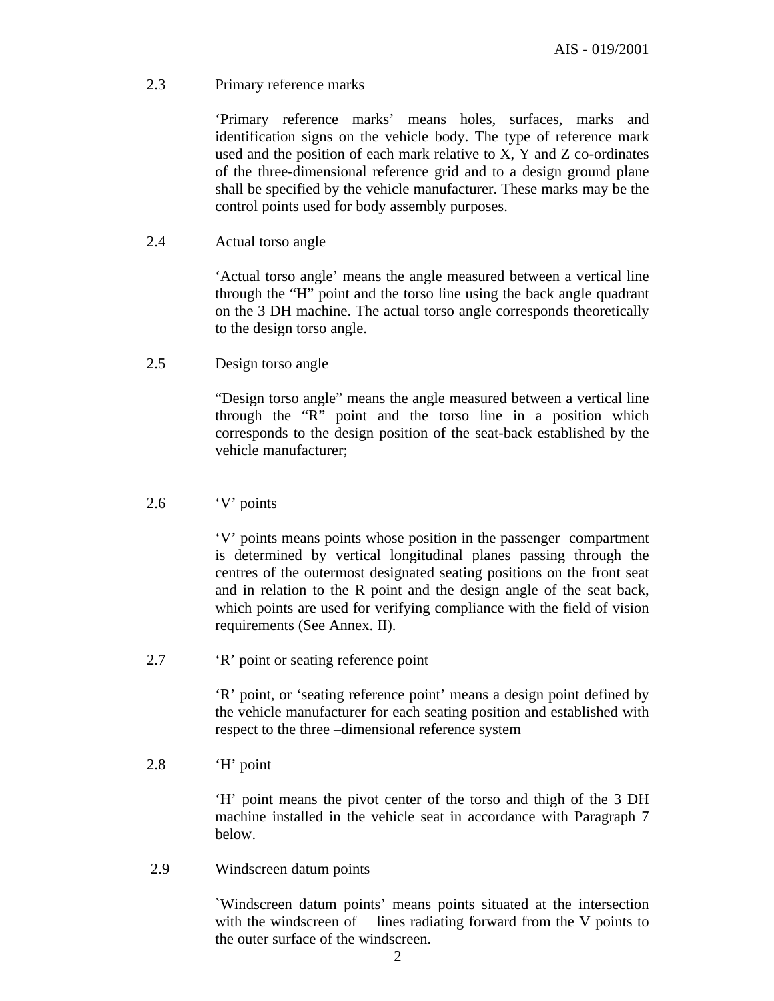#### 2.3 Primary reference marks

'Primary reference marks' means holes, surfaces, marks and identification signs on the vehicle body. The type of reference mark used and the position of each mark relative to X, Y and Z co-ordinates of the three-dimensional reference grid and to a design ground plane shall be specified by the vehicle manufacturer. These marks may be the control points used for body assembly purposes.

2.4 Actual torso angle

'Actual torso angle' means the angle measured between a vertical line through the "H" point and the torso line using the back angle quadrant on the 3 DH machine. The actual torso angle corresponds theoretically to the design torso angle.

2.5 Design torso angle

"Design torso angle" means the angle measured between a vertical line through the "R" point and the torso line in a position which corresponds to the design position of the seat-back established by the vehicle manufacturer;

#### 2.6 'V' points

'V' points means points whose position in the passenger compartment is determined by vertical longitudinal planes passing through the centres of the outermost designated seating positions on the front seat and in relation to the R point and the design angle of the seat back, which points are used for verifying compliance with the field of vision requirements (See Annex. II).

2.7 'R' point or seating reference point

'R' point, or 'seating reference point' means a design point defined by the vehicle manufacturer for each seating position and established with respect to the three –dimensional reference system

2.8 'H' point

'H' point means the pivot center of the torso and thigh of the 3 DH machine installed in the vehicle seat in accordance with Paragraph 7 below.

2.9 Windscreen datum points

`Windscreen datum points' means points situated at the intersection with the windscreen of lines radiating forward from the V points to the outer surface of the windscreen.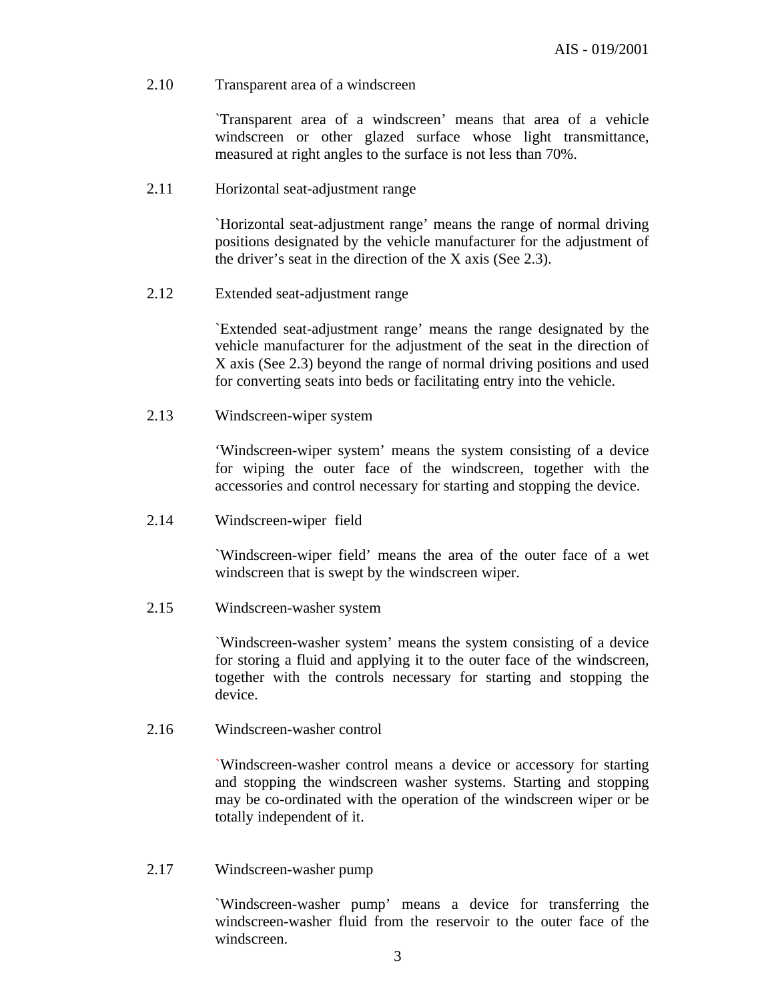#### 2.10 Transparent area of a windscreen

`Transparent area of a windscreen' means that area of a vehicle windscreen or other glazed surface whose light transmittance, measured at right angles to the surface is not less than 70%.

#### 2.11 Horizontal seat-adjustment range

`Horizontal seat-adjustment range' means the range of normal driving positions designated by the vehicle manufacturer for the adjustment of the driver's seat in the direction of the X axis (See 2.3).

2.12 Extended seat-adjustment range

`Extended seat-adjustment range' means the range designated by the vehicle manufacturer for the adjustment of the seat in the direction of X axis (See 2.3) beyond the range of normal driving positions and used for converting seats into beds or facilitating entry into the vehicle.

2.13 Windscreen-wiper system

'Windscreen-wiper system' means the system consisting of a device for wiping the outer face of the windscreen, together with the accessories and control necessary for starting and stopping the device.

2.14 Windscreen-wiper field

`Windscreen-wiper field' means the area of the outer face of a wet windscreen that is swept by the windscreen wiper.

2.15 Windscreen-washer system

`Windscreen-washer system' means the system consisting of a device for storing a fluid and applying it to the outer face of the windscreen, together with the controls necessary for starting and stopping the device.

2.16 Windscreen-washer control

`Windscreen-washer control means a device or accessory for starting and stopping the windscreen washer systems. Starting and stopping may be co-ordinated with the operation of the windscreen wiper or be totally independent of it.

2.17 Windscreen-washer pump

`Windscreen-washer pump' means a device for transferring the windscreen-washer fluid from the reservoir to the outer face of the windscreen.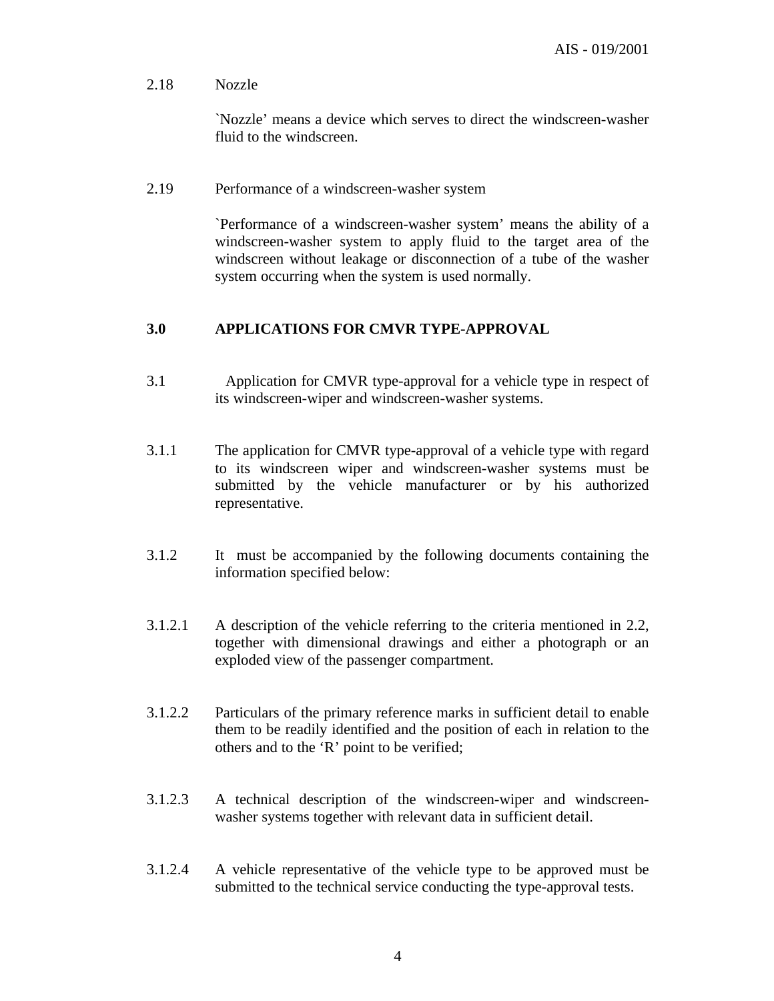#### 2.18 Nozzle

`Nozzle' means a device which serves to direct the windscreen-washer fluid to the windscreen.

#### 2.19 Performance of a windscreen-washer system

`Performance of a windscreen-washer system' means the ability of a windscreen-washer system to apply fluid to the target area of the windscreen without leakage or disconnection of a tube of the washer system occurring when the system is used normally.

#### **3.0 APPLICATIONS FOR CMVR TYPE-APPROVAL**

- 3.1 Application for CMVR type-approval for a vehicle type in respect of its windscreen-wiper and windscreen-washer systems.
- 3.1.1 The application for CMVR type-approval of a vehicle type with regard to its windscreen wiper and windscreen-washer systems must be submitted by the vehicle manufacturer or by his authorized representative.
- 3.1.2 It must be accompanied by the following documents containing the information specified below:
- 3.1.2.1 A description of the vehicle referring to the criteria mentioned in 2.2, together with dimensional drawings and either a photograph or an exploded view of the passenger compartment.
- 3.1.2.2 Particulars of the primary reference marks in sufficient detail to enable them to be readily identified and the position of each in relation to the others and to the 'R' point to be verified;
- 3.1.2.3 A technical description of the windscreen-wiper and windscreenwasher systems together with relevant data in sufficient detail.
- 3.1.2.4 A vehicle representative of the vehicle type to be approved must be submitted to the technical service conducting the type-approval tests.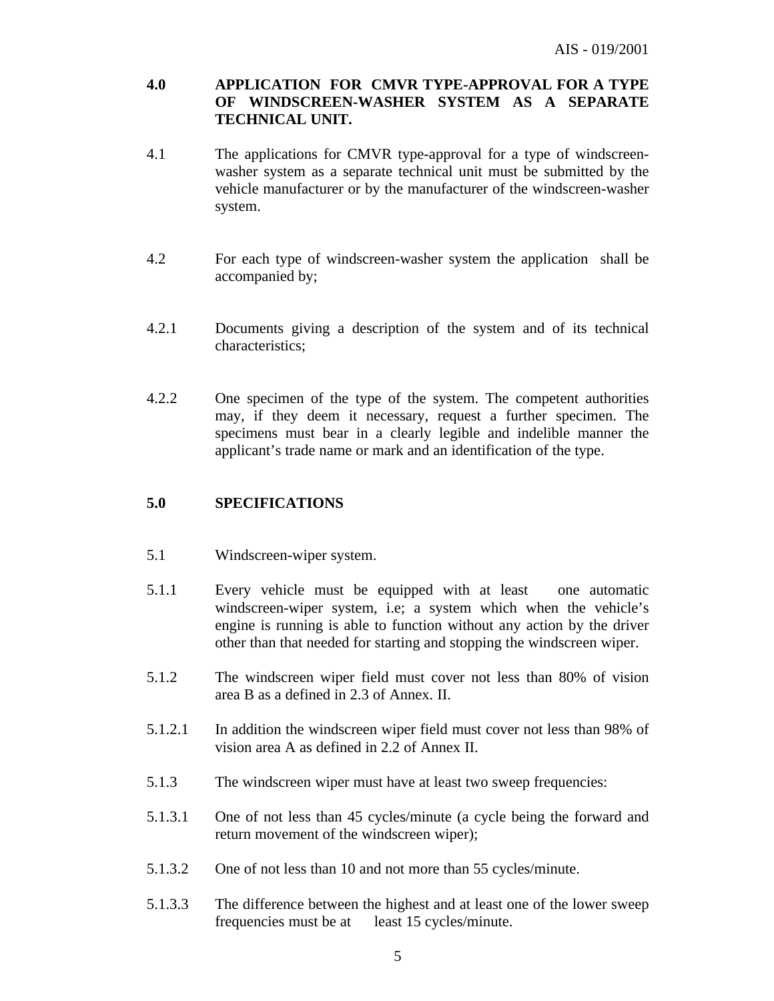#### **4.0 APPLICATION FOR CMVR TYPE-APPROVAL FOR A TYPE OF WINDSCREEN-WASHER SYSTEM AS A SEPARATE TECHNICAL UNIT.**

- 4.1 The applications for CMVR type-approval for a type of windscreenwasher system as a separate technical unit must be submitted by the vehicle manufacturer or by the manufacturer of the windscreen-washer system.
- 4.2 For each type of windscreen-washer system the application shall be accompanied by;
- 4.2.1 Documents giving a description of the system and of its technical characteristics;
- 4.2.2 One specimen of the type of the system. The competent authorities may, if they deem it necessary, request a further specimen. The specimens must bear in a clearly legible and indelible manner the applicant's trade name or mark and an identification of the type.

## **5.0 SPECIFICATIONS**

- 5.1 Windscreen-wiper system.
- 5.1.1 Every vehicle must be equipped with at least one automatic windscreen-wiper system, i.e; a system which when the vehicle's engine is running is able to function without any action by the driver other than that needed for starting and stopping the windscreen wiper.
- 5.1.2 The windscreen wiper field must cover not less than 80% of vision area B as a defined in 2.3 of Annex. II.
- 5.1.2.1 In addition the windscreen wiper field must cover not less than 98% of vision area A as defined in 2.2 of Annex II.
- 5.1.3 The windscreen wiper must have at least two sweep frequencies:
- 5.1.3.1 One of not less than 45 cycles/minute (a cycle being the forward and return movement of the windscreen wiper);
- 5.1.3.2 One of not less than 10 and not more than 55 cycles/minute.
- 5.1.3.3 The difference between the highest and at least one of the lower sweep frequencies must be at least 15 cycles/minute.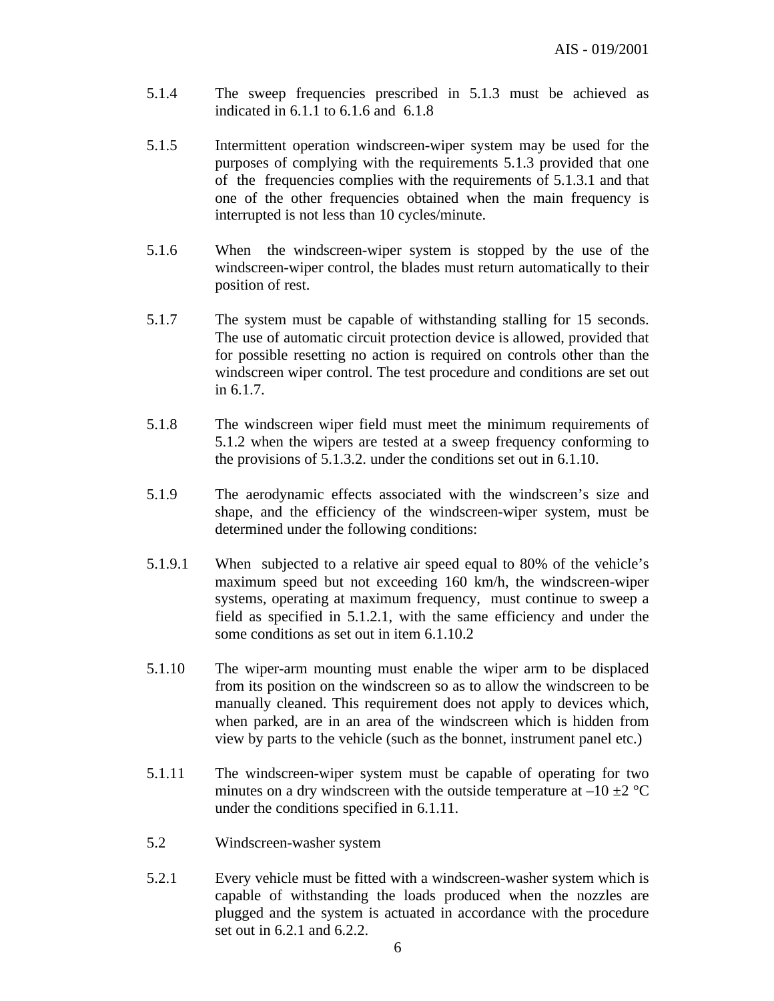- 5.1.4 The sweep frequencies prescribed in 5.1.3 must be achieved as indicated in 6.1.1 to 6.1.6 and 6.1.8
- 5.1.5 Intermittent operation windscreen-wiper system may be used for the purposes of complying with the requirements 5.1.3 provided that one of the frequencies complies with the requirements of 5.1.3.1 and that one of the other frequencies obtained when the main frequency is interrupted is not less than 10 cycles/minute.
- 5.1.6 When the windscreen-wiper system is stopped by the use of the windscreen-wiper control, the blades must return automatically to their position of rest.
- 5.1.7 The system must be capable of withstanding stalling for 15 seconds. The use of automatic circuit protection device is allowed, provided that for possible resetting no action is required on controls other than the windscreen wiper control. The test procedure and conditions are set out in 6.1.7.
- 5.1.8 The windscreen wiper field must meet the minimum requirements of 5.1.2 when the wipers are tested at a sweep frequency conforming to the provisions of 5.1.3.2. under the conditions set out in 6.1.10.
- 5.1.9 The aerodynamic effects associated with the windscreen's size and shape, and the efficiency of the windscreen-wiper system, must be determined under the following conditions:
- 5.1.9.1 When subjected to a relative air speed equal to 80% of the vehicle's maximum speed but not exceeding 160 km/h, the windscreen-wiper systems, operating at maximum frequency, must continue to sweep a field as specified in 5.1.2.1, with the same efficiency and under the some conditions as set out in item 6.1.10.2
- 5.1.10 The wiper-arm mounting must enable the wiper arm to be displaced from its position on the windscreen so as to allow the windscreen to be manually cleaned. This requirement does not apply to devices which, when parked, are in an area of the windscreen which is hidden from view by parts to the vehicle (such as the bonnet, instrument panel etc.)
- 5.1.11 The windscreen-wiper system must be capable of operating for two minutes on a dry windscreen with the outside temperature at  $-10 \pm 2$  °C under the conditions specified in 6.1.11.
- 5.2 Windscreen-washer system
- 5.2.1 Every vehicle must be fitted with a windscreen-washer system which is capable of withstanding the loads produced when the nozzles are plugged and the system is actuated in accordance with the procedure set out in 6.2.1 and 6.2.2.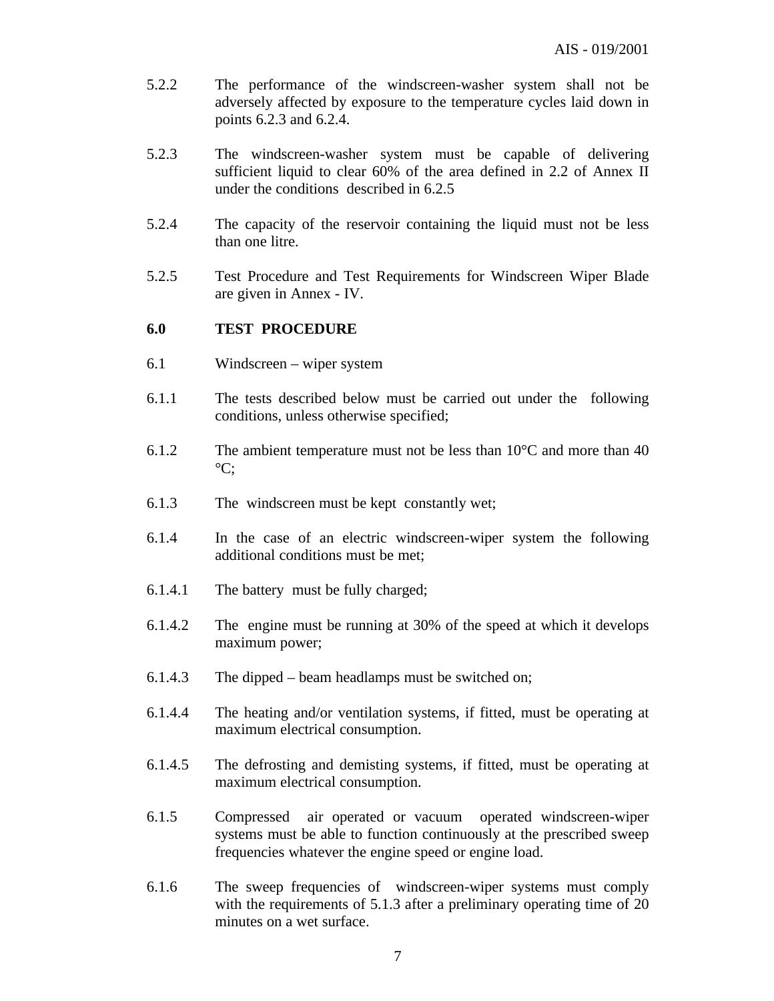- 5.2.2 The performance of the windscreen-washer system shall not be adversely affected by exposure to the temperature cycles laid down in points 6.2.3 and 6.2.4.
- 5.2.3 The windscreen-washer system must be capable of delivering sufficient liquid to clear 60% of the area defined in 2.2 of Annex II under the conditions described in 6.2.5
- 5.2.4 The capacity of the reservoir containing the liquid must not be less than one litre.
- 5.2.5 Test Procedure and Test Requirements for Windscreen Wiper Blade are given in Annex - IV.

#### **6.0 TEST PROCEDURE**

- 6.1 Windscreen wiper system
- 6.1.1 The tests described below must be carried out under the following conditions, unless otherwise specified;
- 6.1.2 The ambient temperature must not be less than  $10^{\circ}$ C and more than 40  $\mathrm{^{\circ}C:}$
- 6.1.3 The windscreen must be kept constantly wet;
- 6.1.4 In the case of an electric windscreen-wiper system the following additional conditions must be met;
- 6.1.4.1 The battery must be fully charged;
- 6.1.4.2 The engine must be running at 30% of the speed at which it develops maximum power;
- 6.1.4.3 The dipped beam headlamps must be switched on;
- 6.1.4.4 The heating and/or ventilation systems, if fitted, must be operating at maximum electrical consumption.
- 6.1.4.5 The defrosting and demisting systems, if fitted, must be operating at maximum electrical consumption.
- 6.1.5 Compressed air operated or vacuum operated windscreen-wiper systems must be able to function continuously at the prescribed sweep frequencies whatever the engine speed or engine load.
- 6.1.6 The sweep frequencies of windscreen-wiper systems must comply with the requirements of 5.1.3 after a preliminary operating time of 20 minutes on a wet surface.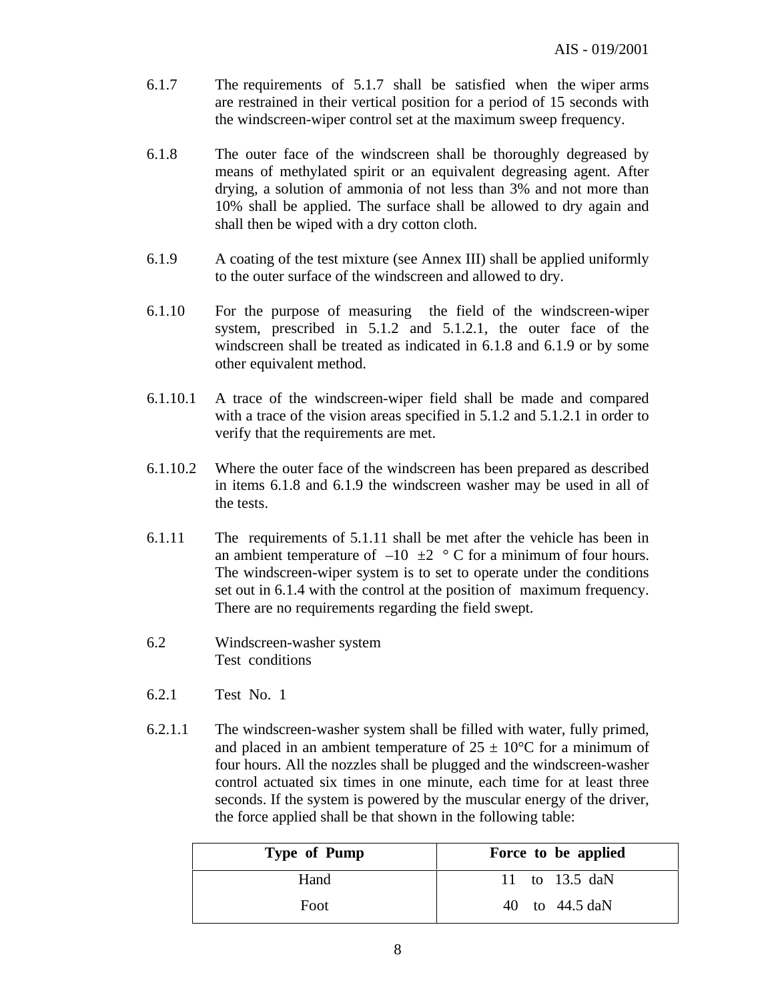- 6.1.7 The requirements of 5.1.7 shall be satisfied when the wiper arms are restrained in their vertical position for a period of 15 seconds with the windscreen-wiper control set at the maximum sweep frequency.
- 6.1.8 The outer face of the windscreen shall be thoroughly degreased by means of methylated spirit or an equivalent degreasing agent. After drying, a solution of ammonia of not less than 3% and not more than 10% shall be applied. The surface shall be allowed to dry again and shall then be wiped with a dry cotton cloth.
- 6.1.9 A coating of the test mixture (see Annex III) shall be applied uniformly to the outer surface of the windscreen and allowed to dry.
- 6.1.10 For the purpose of measuring the field of the windscreen-wiper system, prescribed in 5.1.2 and 5.1.2.1, the outer face of the windscreen shall be treated as indicated in 6.1.8 and 6.1.9 or by some other equivalent method.
- 6.1.10.1 A trace of the windscreen-wiper field shall be made and compared with a trace of the vision areas specified in 5.1.2 and 5.1.2.1 in order to verify that the requirements are met.
- 6.1.10.2 Where the outer face of the windscreen has been prepared as described in items 6.1.8 and 6.1.9 the windscreen washer may be used in all of the tests.
- 6.1.11 The requirements of 5.1.11 shall be met after the vehicle has been in an ambient temperature of  $-10 \pm 2$  ° C for a minimum of four hours. The windscreen-wiper system is to set to operate under the conditions set out in 6.1.4 with the control at the position of maximum frequency. There are no requirements regarding the field swept.
- 6.2 Windscreen-washer system Test conditions
- 6.2.1 Test No. 1
- 6.2.1.1 The windscreen-washer system shall be filled with water, fully primed, and placed in an ambient temperature of  $25 \pm 10^{\circ}$ C for a minimum of four hours. All the nozzles shall be plugged and the windscreen-washer control actuated six times in one minute, each time for at least three seconds. If the system is powered by the muscular energy of the driver, the force applied shall be that shown in the following table:

| Type of Pump | Force to be applied |
|--------------|---------------------|
| Hand         | 11 to 13.5 daN      |
| Foot         | 40 to 44.5 daN      |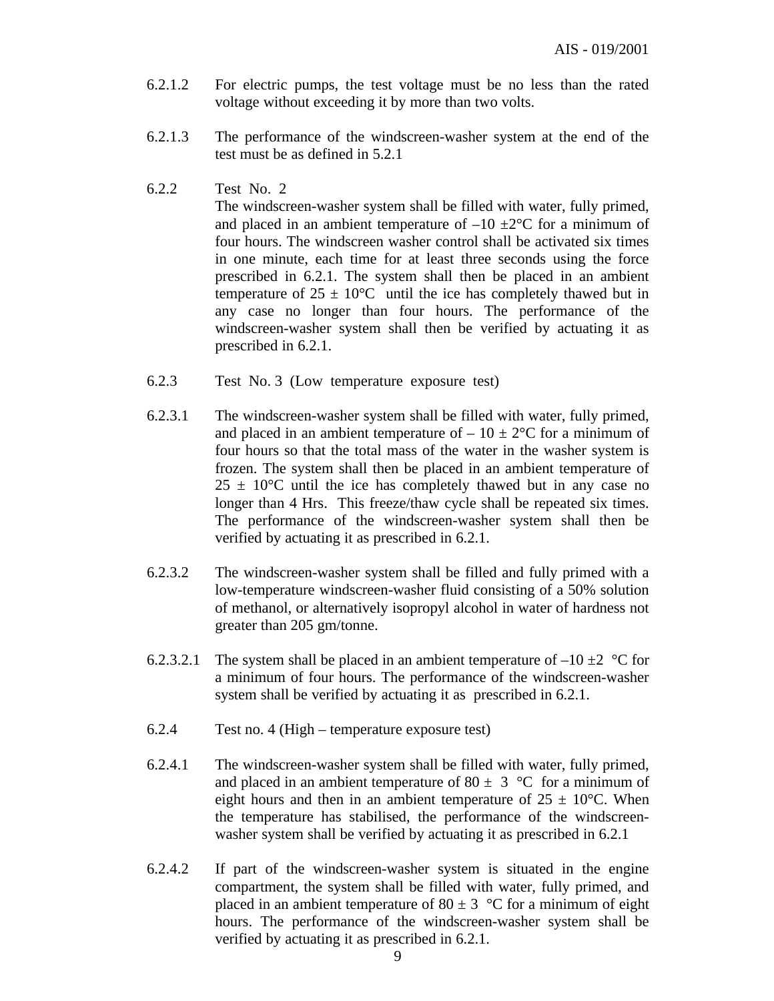- 6.2.1.2 For electric pumps, the test voltage must be no less than the rated voltage without exceeding it by more than two volts.
- 6.2.1.3 The performance of the windscreen-washer system at the end of the test must be as defined in 5.2.1
- 6.2.2 Test No. 2

The windscreen-washer system shall be filled with water, fully primed, and placed in an ambient temperature of  $-10 \pm 2$ °C for a minimum of four hours. The windscreen washer control shall be activated six times in one minute, each time for at least three seconds using the force prescribed in 6.2.1. The system shall then be placed in an ambient temperature of  $25 \pm 10^{\circ}\text{C}$  until the ice has completely thawed but in any case no longer than four hours. The performance of the windscreen-washer system shall then be verified by actuating it as prescribed in 6.2.1.

- 6.2.3 Test No. 3 (Low temperature exposure test)
- 6.2.3.1 The windscreen-washer system shall be filled with water, fully primed, and placed in an ambient temperature of  $-10 \pm 2^{\circ}$ C for a minimum of four hours so that the total mass of the water in the washer system is frozen. The system shall then be placed in an ambient temperature of  $25 \pm 10^{\circ}$ C until the ice has completely thawed but in any case no longer than 4 Hrs. This freeze/thaw cycle shall be repeated six times. The performance of the windscreen-washer system shall then be verified by actuating it as prescribed in 6.2.1.
- 6.2.3.2 The windscreen-washer system shall be filled and fully primed with a low-temperature windscreen-washer fluid consisting of a 50% solution of methanol, or alternatively isopropyl alcohol in water of hardness not greater than 205 gm/tonne.
- 6.2.3.2.1 The system shall be placed in an ambient temperature of  $-10 \pm 2$  °C for a minimum of four hours. The performance of the windscreen-washer system shall be verified by actuating it as prescribed in 6.2.1.
- 6.2.4 Test no. 4 (High temperature exposure test)
- 6.2.4.1 The windscreen-washer system shall be filled with water, fully primed, and placed in an ambient temperature of 80  $\pm$  3 °C for a minimum of eight hours and then in an ambient temperature of  $25 \pm 10^{\circ}$ C. When the temperature has stabilised, the performance of the windscreenwasher system shall be verified by actuating it as prescribed in 6.2.1
- 6.2.4.2 If part of the windscreen-washer system is situated in the engine compartment, the system shall be filled with water, fully primed, and placed in an ambient temperature of  $80 \pm 3$  °C for a minimum of eight hours. The performance of the windscreen-washer system shall be verified by actuating it as prescribed in 6.2.1.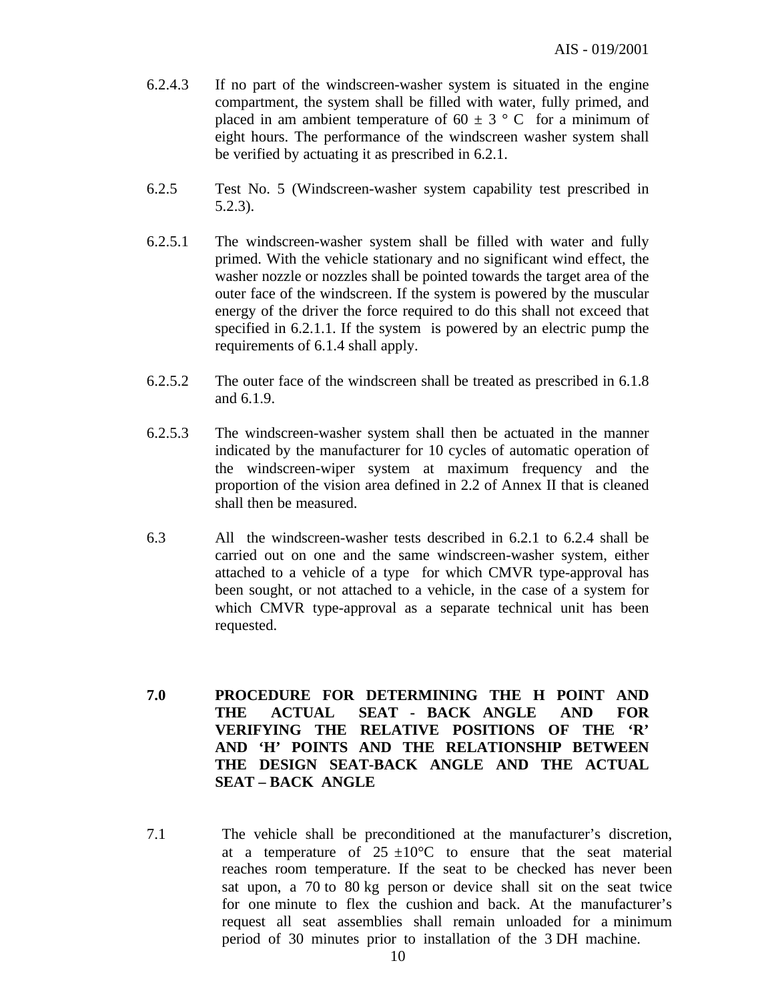- 6.2.4.3 If no part of the windscreen-washer system is situated in the engine compartment, the system shall be filled with water, fully primed, and placed in am ambient temperature of 60  $\pm$  3  $\degree$  C for a minimum of eight hours. The performance of the windscreen washer system shall be verified by actuating it as prescribed in 6.2.1.
- 6.2.5 Test No. 5 (Windscreen-washer system capability test prescribed in 5.2.3).
- 6.2.5.1 The windscreen-washer system shall be filled with water and fully primed. With the vehicle stationary and no significant wind effect, the washer nozzle or nozzles shall be pointed towards the target area of the outer face of the windscreen. If the system is powered by the muscular energy of the driver the force required to do this shall not exceed that specified in 6.2.1.1. If the system is powered by an electric pump the requirements of 6.1.4 shall apply.
- 6.2.5.2 The outer face of the windscreen shall be treated as prescribed in 6.1.8 and 6.1.9.
- 6.2.5.3 The windscreen-washer system shall then be actuated in the manner indicated by the manufacturer for 10 cycles of automatic operation of the windscreen-wiper system at maximum frequency and the proportion of the vision area defined in 2.2 of Annex II that is cleaned shall then be measured.
- 6.3 All the windscreen-washer tests described in 6.2.1 to 6.2.4 shall be carried out on one and the same windscreen-washer system, either attached to a vehicle of a type for which CMVR type-approval has been sought, or not attached to a vehicle, in the case of a system for which CMVR type-approval as a separate technical unit has been requested.
- **7.0 PROCEDURE FOR DETERMINING THE H POINT AND THE ACTUAL SEAT - BACK ANGLE AND FOR VERIFYING THE RELATIVE POSITIONS OF THE 'R' AND 'H' POINTS AND THE RELATIONSHIP BETWEEN THE DESIGN SEAT-BACK ANGLE AND THE ACTUAL SEAT – BACK ANGLE**
- 7.1 The vehicle shall be preconditioned at the manufacturer's discretion, at a temperature of  $25 \pm 10^{\circ}$ C to ensure that the seat material reaches room temperature. If the seat to be checked has never been sat upon, a 70 to 80 kg person or device shall sit on the seat twice for one minute to flex the cushion and back. At the manufacturer's request all seat assemblies shall remain unloaded for a minimum period of 30 minutes prior to installation of the 3 DH machine.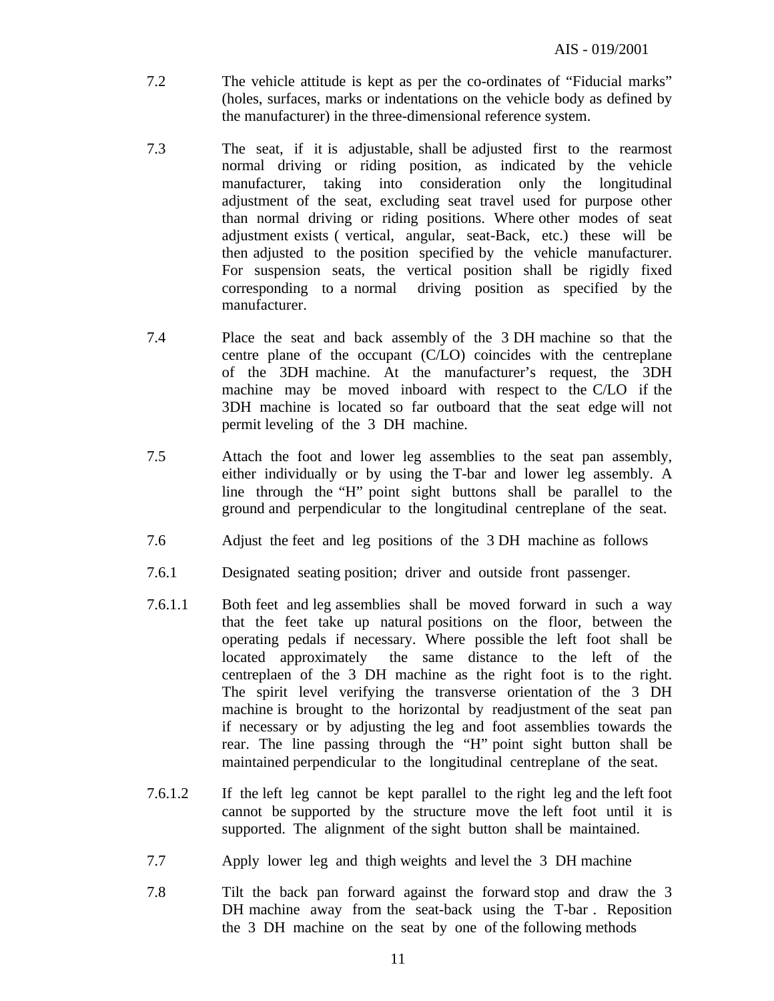- 7.2 The vehicle attitude is kept as per the co-ordinates of "Fiducial marks" (holes, surfaces, marks or indentations on the vehicle body as defined by the manufacturer) in the three-dimensional reference system.
- 7.3 The seat, if it is adjustable, shall be adjusted first to the rearmost normal driving or riding position, as indicated by the vehicle manufacturer, taking into consideration only the longitudinal adjustment of the seat, excluding seat travel used for purpose other than normal driving or riding positions. Where other modes of seat adjustment exists ( vertical, angular, seat-Back, etc.) these will be then adjusted to the position specified by the vehicle manufacturer. For suspension seats, the vertical position shall be rigidly fixed corresponding to a normal driving position as specified by the manufacturer.
- 7.4 Place the seat and back assembly of the 3 DH machine so that the centre plane of the occupant (C/LO) coincides with the centreplane of the 3DH machine. At the manufacturer's request, the 3DH machine may be moved inboard with respect to the C/LO if the 3DH machine is located so far outboard that the seat edge will not permit leveling of the 3 DH machine.
- 7.5 Attach the foot and lower leg assemblies to the seat pan assembly, either individually or by using the T-bar and lower leg assembly. A line through the "H" point sight buttons shall be parallel to the ground and perpendicular to the longitudinal centreplane of the seat.
- 7.6 Adjust the feet and leg positions of the 3 DH machine as follows
- 7.6.1 Designated seating position; driver and outside front passenger.
- 7.6.1.1 Both feet and leg assemblies shall be moved forward in such a way that the feet take up natural positions on the floor, between the operating pedals if necessary. Where possible the left foot shall be located approximately the same distance to the left of the centreplaen of the 3 DH machine as the right foot is to the right. The spirit level verifying the transverse orientation of the 3 DH machine is brought to the horizontal by readjustment of the seat pan if necessary or by adjusting the leg and foot assemblies towards the rear. The line passing through the "H" point sight button shall be maintained perpendicular to the longitudinal centreplane of the seat.
- 7.6.1.2 If the left leg cannot be kept parallel to the right leg and the left foot cannot be supported by the structure move the left foot until it is supported. The alignment of the sight button shall be maintained.
- 7.7 Apply lower leg and thigh weights and level the 3 DH machine
- 7.8 Tilt the back pan forward against the forward stop and draw the 3 DH machine away from the seat-back using the T-bar . Reposition the 3 DH machine on the seat by one of the following methods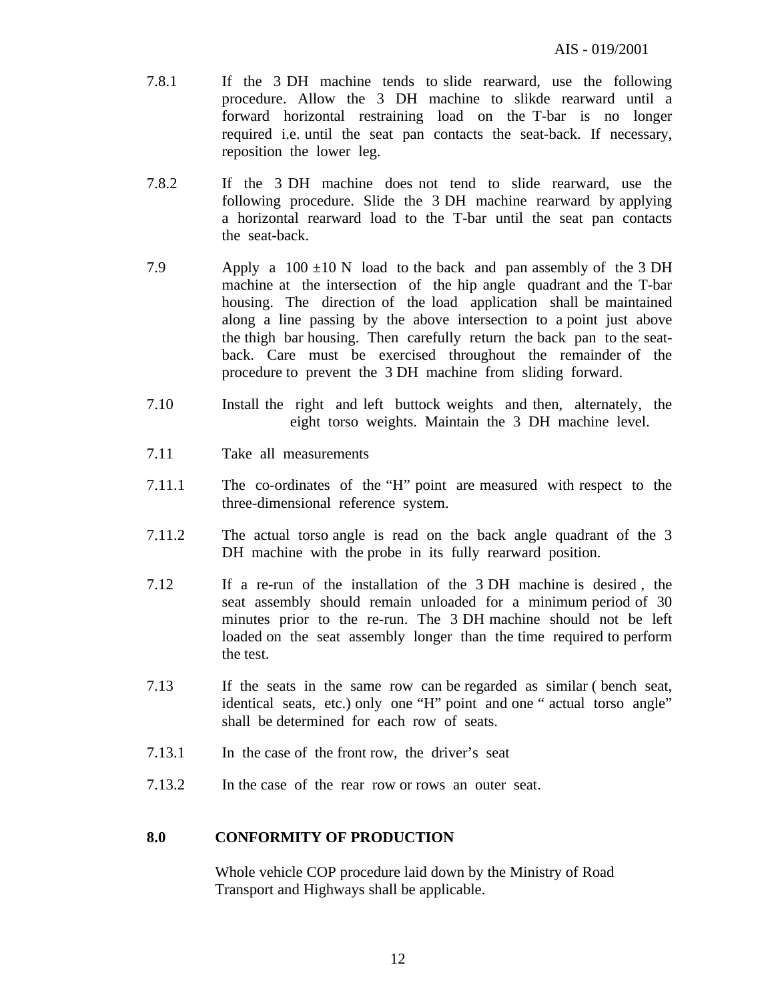- 7.8.1 If the 3 DH machine tends to slide rearward, use the following procedure. Allow the 3 DH machine to slikde rearward until a forward horizontal restraining load on the T-bar is no longer required i.e. until the seat pan contacts the seat-back. If necessary, reposition the lower leg.
- 7.8.2 If the 3 DH machine does not tend to slide rearward, use the following procedure. Slide the 3 DH machine rearward by applying a horizontal rearward load to the T-bar until the seat pan contacts the seat-back.
- 7.9 Apply a  $100 \pm 10$  N load to the back and pan assembly of the 3 DH machine at the intersection of the hip angle quadrant and the T-bar housing. The direction of the load application shall be maintained along a line passing by the above intersection to a point just above the thigh bar housing. Then carefully return the back pan to the seatback. Care must be exercised throughout the remainder of the procedure to prevent the 3 DH machine from sliding forward.
- 7.10 Install the right and left buttock weights and then, alternately, the eight torso weights. Maintain the 3 DH machine level.
- 7.11 Take all measurements
- 7.11.1 The co-ordinates of the "H" point are measured with respect to the three-dimensional reference system.
- 7.11.2 The actual torso angle is read on the back angle quadrant of the 3 DH machine with the probe in its fully rearward position.
- 7.12 If a re-run of the installation of the 3 DH machine is desired , the seat assembly should remain unloaded for a minimum period of 30 minutes prior to the re-run. The 3 DH machine should not be left loaded on the seat assembly longer than the time required to perform the test.
- 7.13 If the seats in the same row can be regarded as similar ( bench seat, identical seats, etc.) only one "H" point and one " actual torso angle" shall be determined for each row of seats.
- 7.13.1 In the case of the front row, the driver's seat
- 7.13.2 In the case of the rear row or rows an outer seat.

#### **8.0 CONFORMITY OF PRODUCTION**

Whole vehicle COP procedure laid down by the Ministry of Road Transport and Highways shall be applicable.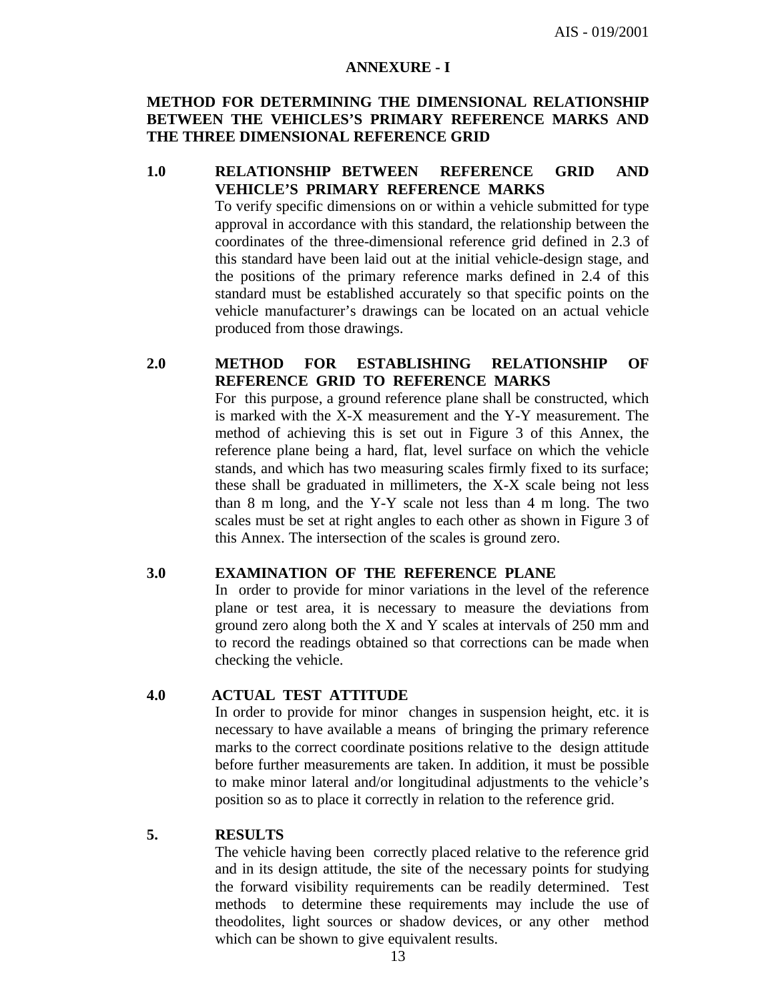#### **ANNEXURE - I**

#### **METHOD FOR DETERMINING THE DIMENSIONAL RELATIONSHIP BETWEEN THE VEHICLES'S PRIMARY REFERENCE MARKS AND THE THREE DIMENSIONAL REFERENCE GRID**

#### **1.0 RELATIONSHIP BETWEEN REFERENCE GRID AND VEHICLE'S PRIMARY REFERENCE MARKS**

To verify specific dimensions on or within a vehicle submitted for type approval in accordance with this standard, the relationship between the coordinates of the three-dimensional reference grid defined in 2.3 of this standard have been laid out at the initial vehicle-design stage, and the positions of the primary reference marks defined in 2.4 of this standard must be established accurately so that specific points on the vehicle manufacturer's drawings can be located on an actual vehicle produced from those drawings.

#### **2.0 METHOD FOR ESTABLISHING RELATIONSHIP OF REFERENCE GRID TO REFERENCE MARKS**

For this purpose, a ground reference plane shall be constructed, which is marked with the X-X measurement and the Y-Y measurement. The method of achieving this is set out in Figure 3 of this Annex, the reference plane being a hard, flat, level surface on which the vehicle stands, and which has two measuring scales firmly fixed to its surface; these shall be graduated in millimeters, the X-X scale being not less than 8 m long, and the Y-Y scale not less than 4 m long. The two scales must be set at right angles to each other as shown in Figure 3 of this Annex. The intersection of the scales is ground zero.

#### **3.0 EXAMINATION OF THE REFERENCE PLANE**

In order to provide for minor variations in the level of the reference plane or test area, it is necessary to measure the deviations from ground zero along both the X and Y scales at intervals of 250 mm and to record the readings obtained so that corrections can be made when checking the vehicle.

#### **4.0 ACTUAL TEST ATTITUDE**

In order to provide for minor changes in suspension height, etc. it is necessary to have available a means of bringing the primary reference marks to the correct coordinate positions relative to the design attitude before further measurements are taken. In addition, it must be possible to make minor lateral and/or longitudinal adjustments to the vehicle's position so as to place it correctly in relation to the reference grid.

#### **5. RESULTS**

The vehicle having been correctly placed relative to the reference grid and in its design attitude, the site of the necessary points for studying the forward visibility requirements can be readily determined. Test methods to determine these requirements may include the use of theodolites, light sources or shadow devices, or any other method which can be shown to give equivalent results.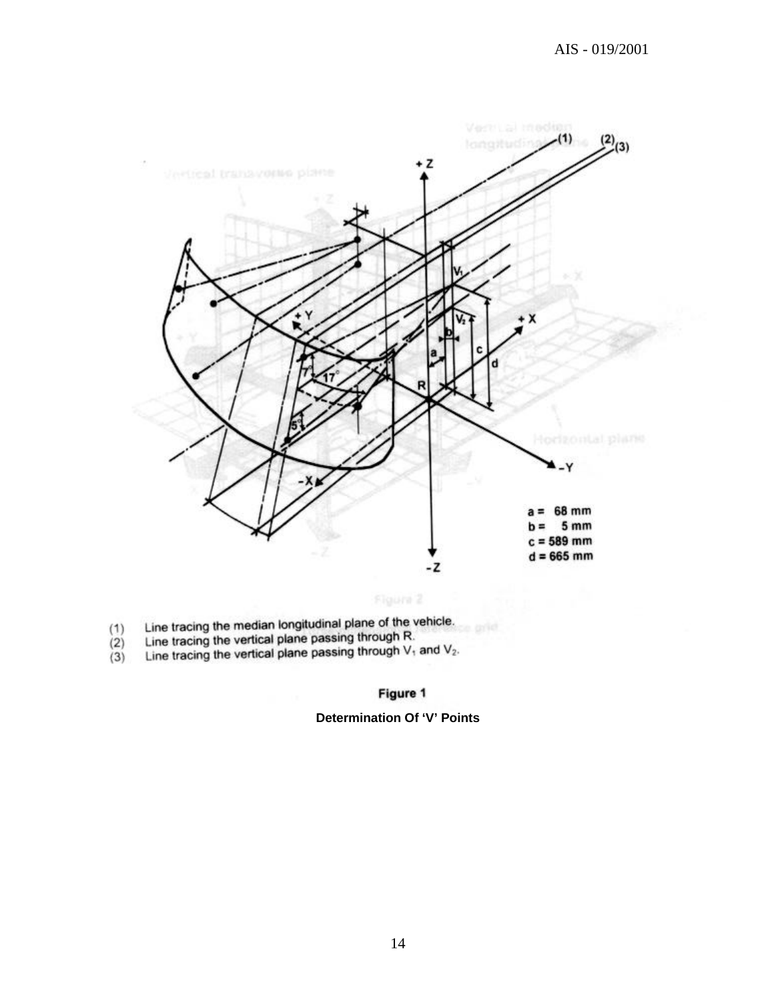

- $(1)$
- $(2)$
- Line tracing the median longitudinal plane of the vehicle.<br>Line tracing the vertical plane passing through R.<br>Line tracing the vertical plane passing through  $V_1$  and  $V_2$ .  $(3)$

#### Figure 1

#### **Determination Of 'V' Points**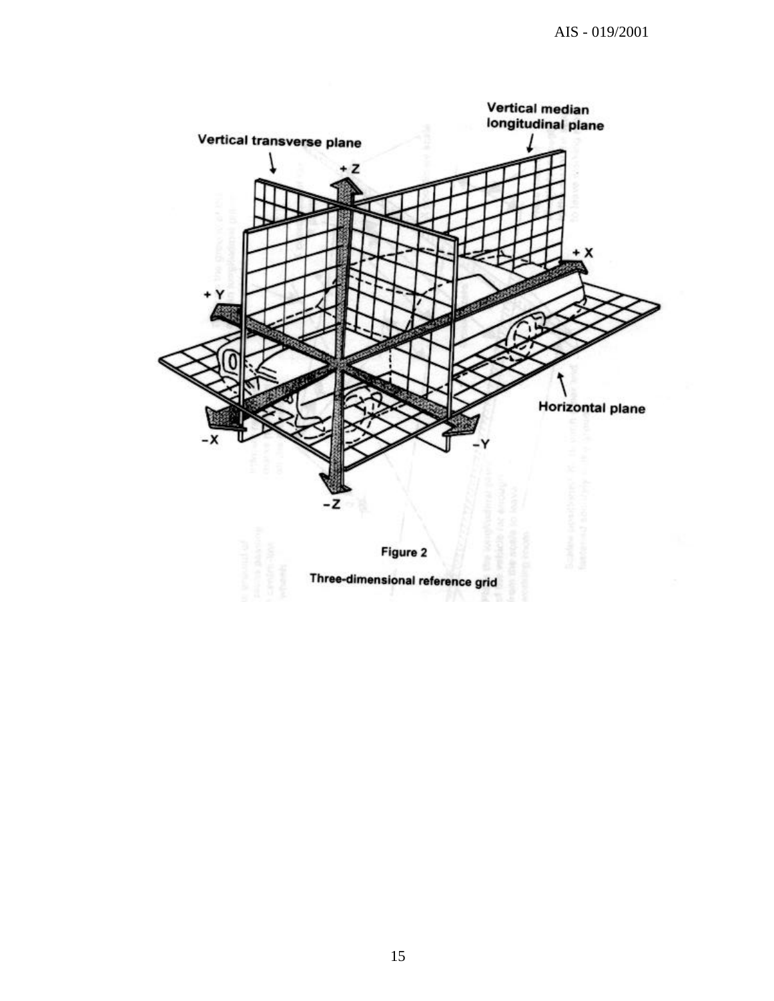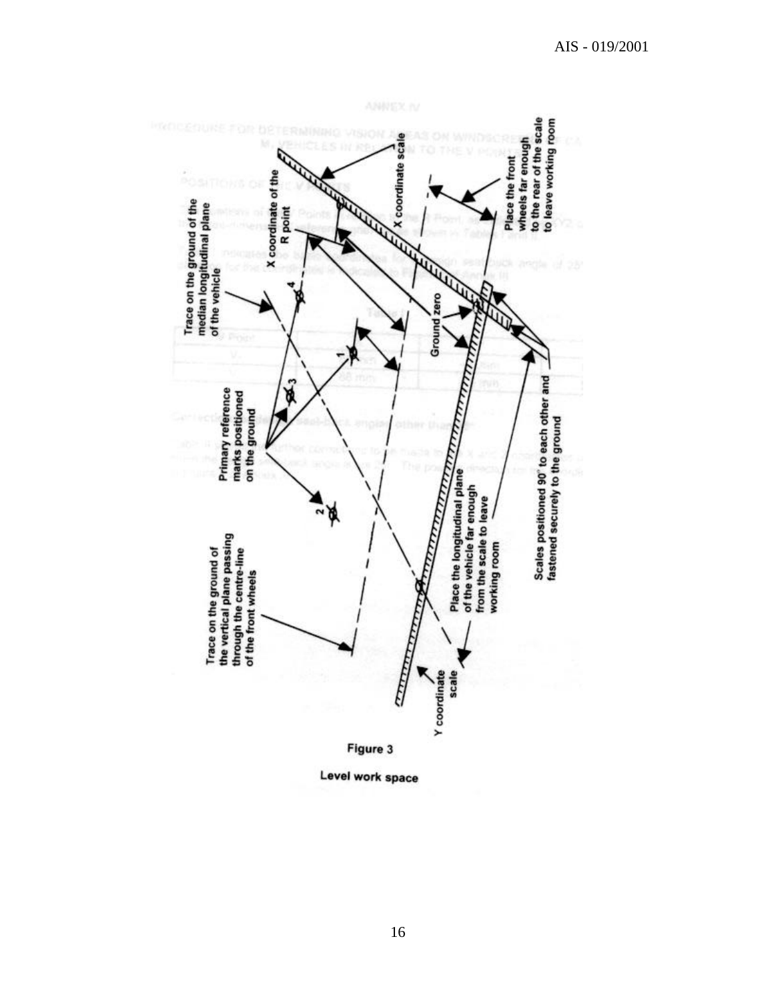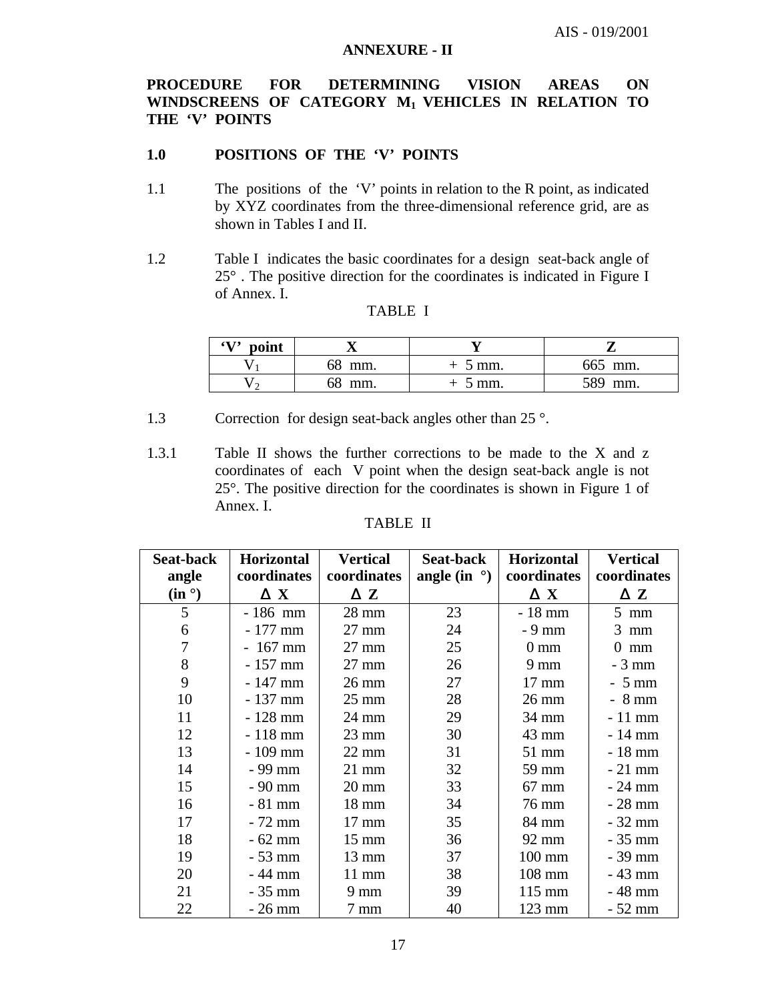#### **ANNEXURE - II**

#### **PROCEDURE FOR DETERMINING VISION AREAS ON WINDSCREENS OF CATEGORY M1 VEHICLES IN RELATION TO THE 'V' POINTS**

#### **1.0 POSITIONS OF THE 'V' POINTS**

- 1.1 The positions of the 'V' points in relation to the R point, as indicated by XYZ coordinates from the three-dimensional reference grid, are as shown in Tables I and II.
- 1.2 Table I indicates the basic coordinates for a design seat-back angle of 25° . The positive direction for the coordinates is indicated in Figure I of Annex. I.

| $\left( \mathbf{V} \right)$<br>point |        |                  |            |
|--------------------------------------|--------|------------------|------------|
|                                      | 68 mm. | 5 mm.            | 665 mm.    |
|                                      | 58 mm. | $5 \text{ mm}$ . | 589<br>mm. |

#### TABLE I

- 1.3 Correction for design seat-back angles other than 25 °.
- 1.3.1 Table II shows the further corrections to be made to the X and z coordinates of each V point when the design seat-back angle is not 25°. The positive direction for the coordinates is shown in Figure 1 of Annex. I.

|--|--|

| <b>Seat-back</b> | <b>Horizontal</b> | <b>Vertical</b> | Seat-back             | <b>Horizontal</b> | <b>Vertical</b> |
|------------------|-------------------|-----------------|-----------------------|-------------------|-----------------|
| angle            | coordinates       | coordinates     | angle (in $\degree$ ) | coordinates       | coordinates     |
| $(in^{\circ})$   | $\Delta$ X        | $\Delta$ Z      |                       | $\Delta$ X        | ΔΖ              |
| 5                | $-186$ mm         | $28 \text{ mm}$ | 23                    | $-18$ mm          | $5 \text{ mm}$  |
| 6                | $-177$ mm         | $27 \text{ mm}$ | 24                    | $-9$ mm           | $3 \text{ mm}$  |
| 7                | $-167$ mm         | $27 \text{ mm}$ | 25                    | $0 \text{ mm}$    | 0<br>mm         |
| 8                | $-157$ mm         | $27 \text{ mm}$ | 26                    | $9 \text{ mm}$    | $-3$ mm         |
| 9                | $-147$ mm         | $26 \text{ mm}$ | 27                    | $17 \text{ mm}$   | $-5$ mm         |
| 10               | $-137$ mm         | $25 \text{ mm}$ | 28                    | $26 \text{ mm}$   | $-8$ mm         |
| 11               | $-128$ mm         | 24 mm           | 29                    | 34 mm             | $-11$ mm        |
| 12               | $-118$ mm         | $23 \text{ mm}$ | 30                    | 43 mm             | $-14$ mm        |
| 13               | $-109$ mm         | $22 \text{ mm}$ | 31                    | 51 mm             | $-18$ mm        |
| 14               | $-99$ mm          | $21 \text{ mm}$ | 32                    | 59 mm             | $-21$ mm        |
| 15               | $-90$ mm          | $20 \text{ mm}$ | 33                    | $67$ mm           | $-24$ mm        |
| 16               | $-81$ mm          | $18 \text{ mm}$ | 34                    | 76 mm             | $-28$ mm        |
| 17               | $-72$ mm          | $17 \text{ mm}$ | 35                    | 84 mm             | $-32$ mm        |
| 18               | $-62$ mm          | $15 \text{ mm}$ | 36                    | 92 mm             | $-35$ mm        |
| 19               | $-53$ mm          | $13 \text{ mm}$ | 37                    | $100 \text{ mm}$  | $-39$ mm        |
| 20               | $-44$ mm          | $11 \text{ mm}$ | 38                    | 108 mm            | $-43$ mm        |
| 21               | $-35$ mm          | $9 \text{ mm}$  | 39                    | $115 \text{ mm}$  | $-48$ mm        |
| 22               | $-26$ mm          | $7 \text{ mm}$  | 40                    | $123 \text{ mm}$  | $-52$ mm        |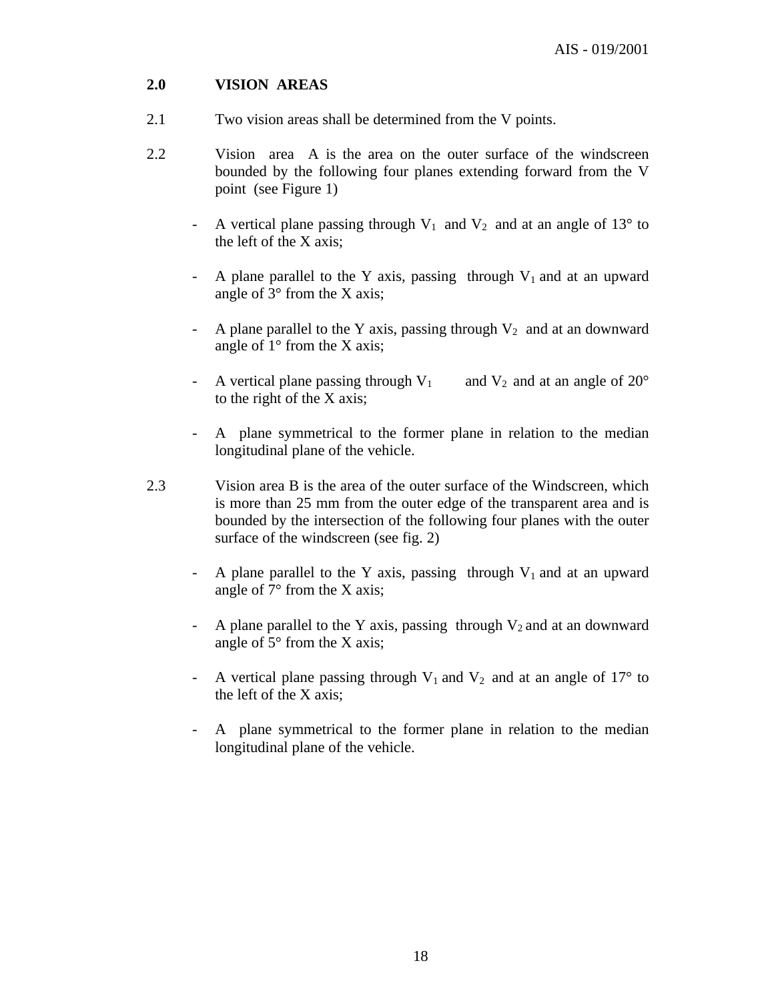#### **2.0 VISION AREAS**

- 2.1 Two vision areas shall be determined from the V points.
- 2.2 Vision area A is the area on the outer surface of the windscreen bounded by the following four planes extending forward from the V point (see Figure 1)
	- A vertical plane passing through  $V_1$  and  $V_2$  and at an angle of 13° to the left of the X axis;
	- A plane parallel to the Y axis, passing through  $V_1$  and at an upward angle of  $3^\circ$  from the X axis;
	- A plane parallel to the Y axis, passing through  $V_2$  and at an downward angle of  $1^\circ$  from the X axis;
	- A vertical plane passing through  $V_1$  and  $V_2$  and at an angle of 20° to the right of the X axis;
	- A plane symmetrical to the former plane in relation to the median longitudinal plane of the vehicle.
- 2.3 Vision area B is the area of the outer surface of the Windscreen, which is more than 25 mm from the outer edge of the transparent area and is bounded by the intersection of the following four planes with the outer surface of the windscreen (see fig. 2)
	- A plane parallel to the Y axis, passing through  $V_1$  and at an upward angle of  $7^{\circ}$  from the X axis;
	- A plane parallel to the Y axis, passing through  $V_2$  and at an downward angle of  $5^{\circ}$  from the X axis;
	- A vertical plane passing through  $V_1$  and  $V_2$  and at an angle of 17° to the left of the X axis;
	- A plane symmetrical to the former plane in relation to the median longitudinal plane of the vehicle.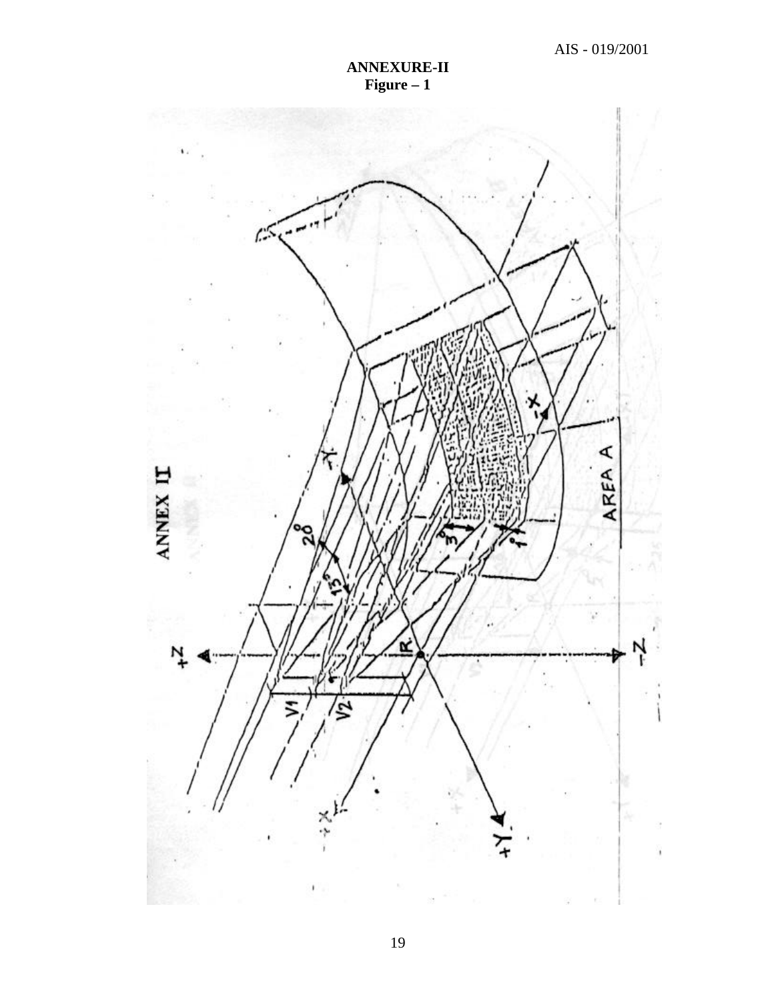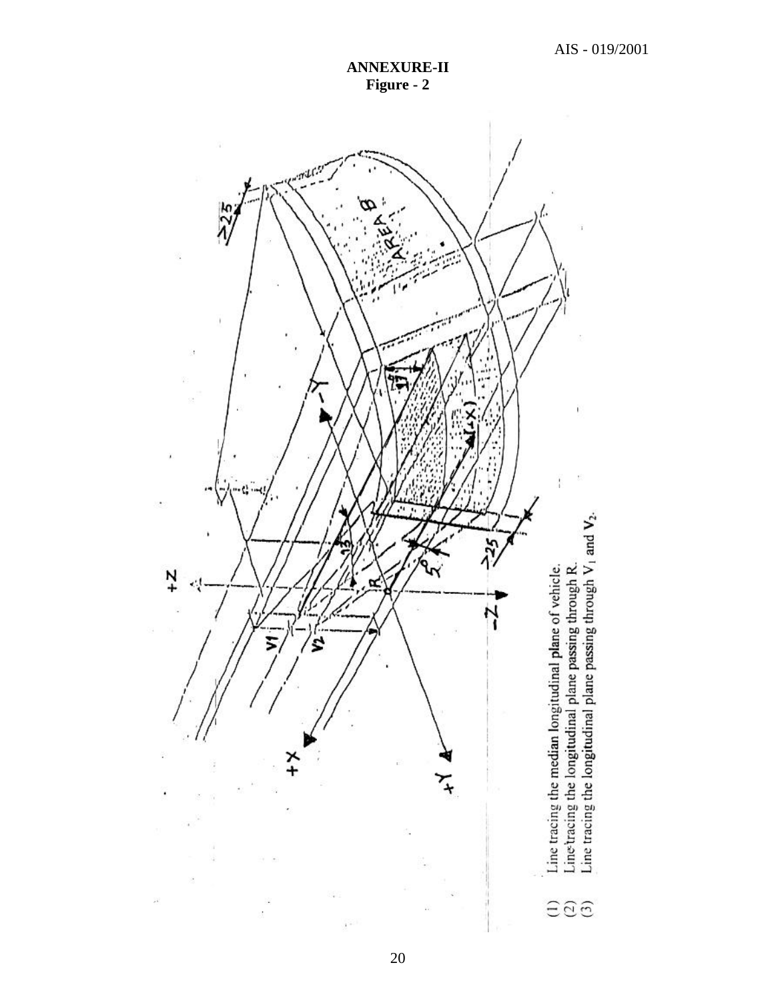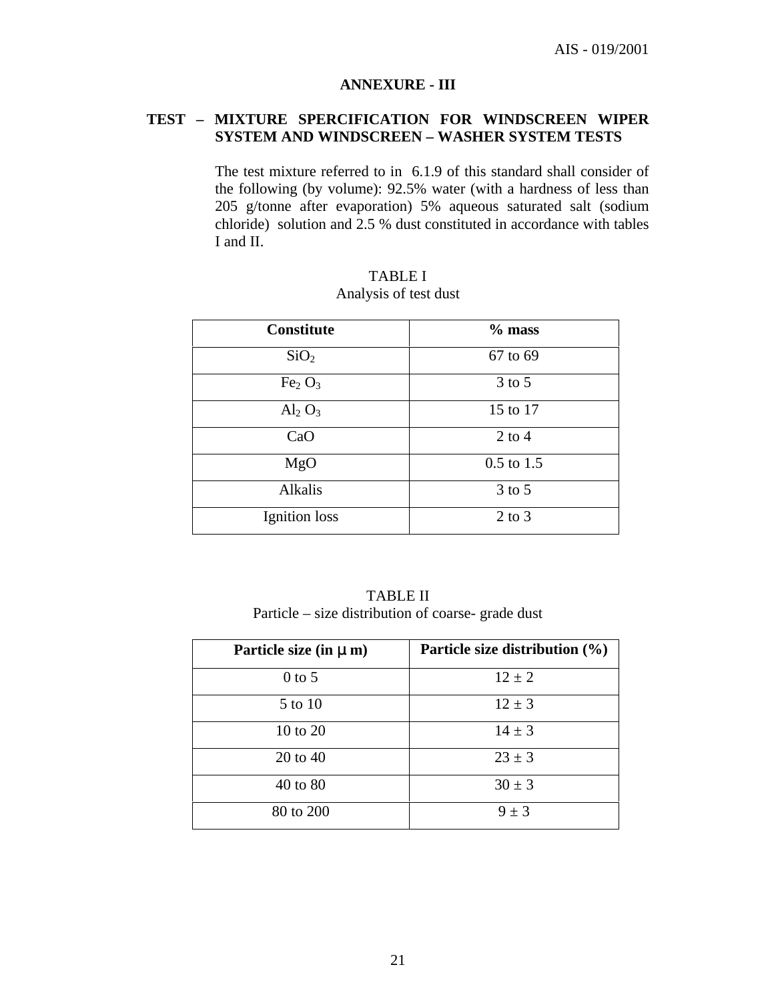#### **ANNEXURE - III**

#### **TEST – MIXTURE SPERCIFICATION FOR WINDSCREEN WIPER SYSTEM AND WINDSCREEN – WASHER SYSTEM TESTS**

The test mixture referred to in 6.1.9 of this standard shall consider of the following (by volume): 92.5% water (with a hardness of less than 205 g/tonne after evaporation) 5% aqueous saturated salt (sodium chloride) solution and 2.5 % dust constituted in accordance with tables I and II.

| <b>Constitute</b>              | $%$ mass       |
|--------------------------------|----------------|
| SiO <sub>2</sub>               | 67 to 69       |
| Fe <sub>2</sub> O <sub>3</sub> | $3$ to $5$     |
| $\mathrm{Al}_2\mathrm{O}_3$    | 15 to 17       |
| CaO                            | $2$ to $4$     |
| MgO                            | $0.5$ to $1.5$ |
| Alkalis                        | $3$ to $5$     |
| Ignition loss                  | $2$ to $3$     |

TABLE I Analysis of test dust

TABLE II Particle – size distribution of coarse- grade dust

| Particle size (in $\mu$ m) | Particle size distribution $(\% )$ |
|----------------------------|------------------------------------|
| $0$ to 5                   | $12 \pm 2$                         |
| 5 to 10                    | $12 \pm 3$                         |
| 10 to 20                   | $14 \pm 3$                         |
| 20 to 40                   | $23 \pm 3$                         |
| 40 to 80                   | $30 \pm 3$                         |
| 80 to 200                  | $9 \pm 3$                          |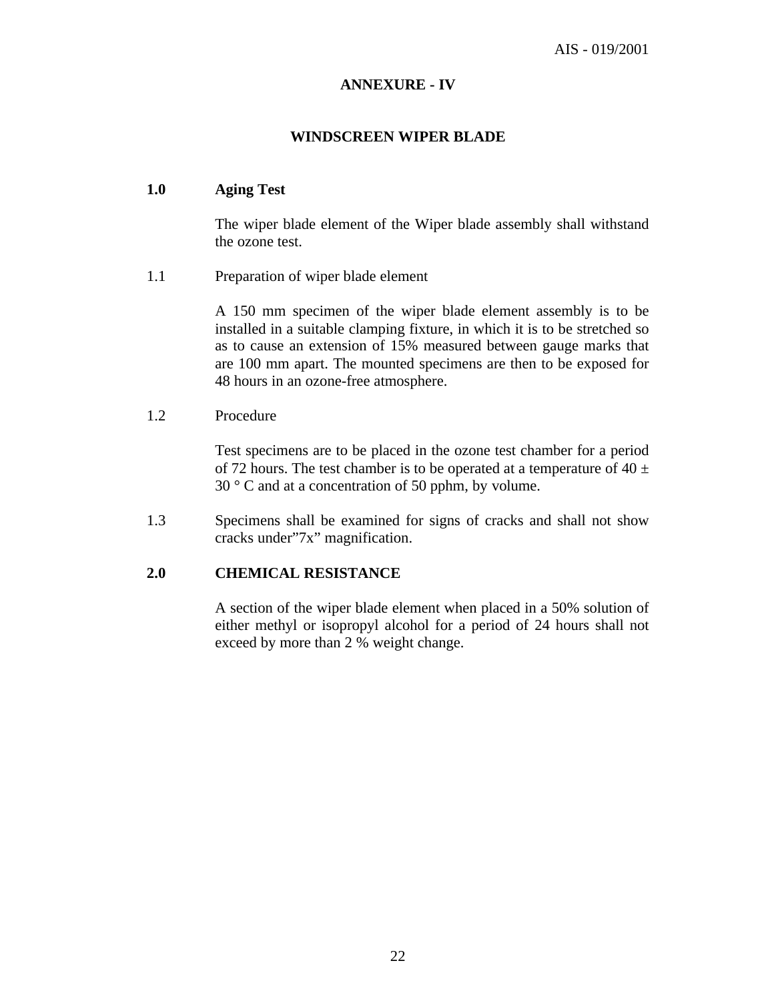#### **ANNEXURE - IV**

#### **WINDSCREEN WIPER BLADE**

#### **1.0 Aging Test**

The wiper blade element of the Wiper blade assembly shall withstand the ozone test.

1.1 Preparation of wiper blade element

A 150 mm specimen of the wiper blade element assembly is to be installed in a suitable clamping fixture, in which it is to be stretched so as to cause an extension of 15% measured between gauge marks that are 100 mm apart. The mounted specimens are then to be exposed for 48 hours in an ozone-free atmosphere.

#### 1.2 Procedure

Test specimens are to be placed in the ozone test chamber for a period of 72 hours. The test chamber is to be operated at a temperature of  $40 \pm$ 30 ° C and at a concentration of 50 pphm, by volume.

1.3 Specimens shall be examined for signs of cracks and shall not show cracks under"7x" magnification.

#### **2.0 CHEMICAL RESISTANCE**

A section of the wiper blade element when placed in a 50% solution of either methyl or isopropyl alcohol for a period of 24 hours shall not exceed by more than 2 % weight change.